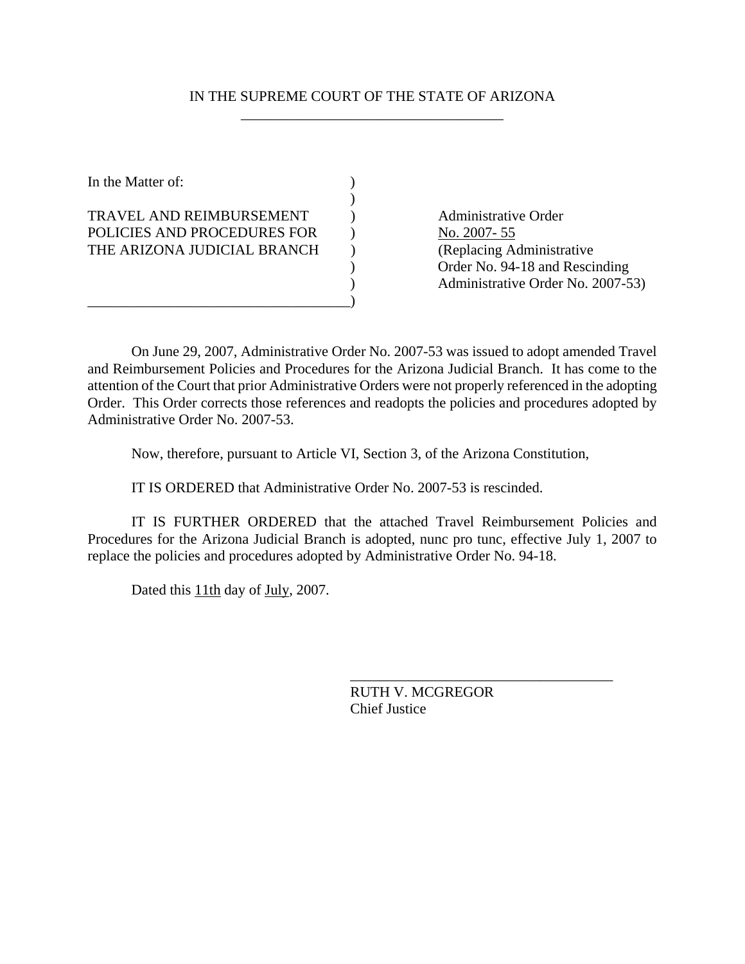### IN THE SUPREME COURT OF THE STATE OF ARIZONA \_\_\_\_\_\_\_\_\_\_\_\_\_\_\_\_\_\_\_\_\_\_\_\_\_\_\_\_\_\_\_\_\_\_\_\_

In the Matter of:  $\qquad \qquad$  )

TRAVEL AND REIMBURSEMENT (a) Administrative Order POLICIES AND PROCEDURES FOR ) No. 2007-55 THE ARIZONA JUDICIAL BRANCH ) (Replacing Administrative

 $)$ 

\_\_\_\_\_\_\_\_\_\_\_\_\_\_\_\_\_\_\_\_\_\_\_\_\_\_\_\_\_\_\_\_\_\_\_\_)

 ) Order No. 94-18 and Rescinding ) Administrative Order No. 2007-53)

 On June 29, 2007, Administrative Order No. 2007-53 was issued to adopt amended Travel and Reimbursement Policies and Procedures for the Arizona Judicial Branch. It has come to the attention of the Court that prior Administrative Orders were not properly referenced in the adopting Order. This Order corrects those references and readopts the policies and procedures adopted by Administrative Order No. 2007-53.

Now, therefore, pursuant to Article VI, Section 3, of the Arizona Constitution,

IT IS ORDERED that Administrative Order No. 2007-53 is rescinded.

IT IS FURTHER ORDERED that the attached Travel Reimbursement Policies and Procedures for the Arizona Judicial Branch is adopted, nunc pro tunc, effective July 1, 2007 to replace the policies and procedures adopted by Administrative Order No. 94-18.

Dated this 11th day of July, 2007.

RUTH V. MCGREGOR Chief Justice

\_\_\_\_\_\_\_\_\_\_\_\_\_\_\_\_\_\_\_\_\_\_\_\_\_\_\_\_\_\_\_\_\_\_\_\_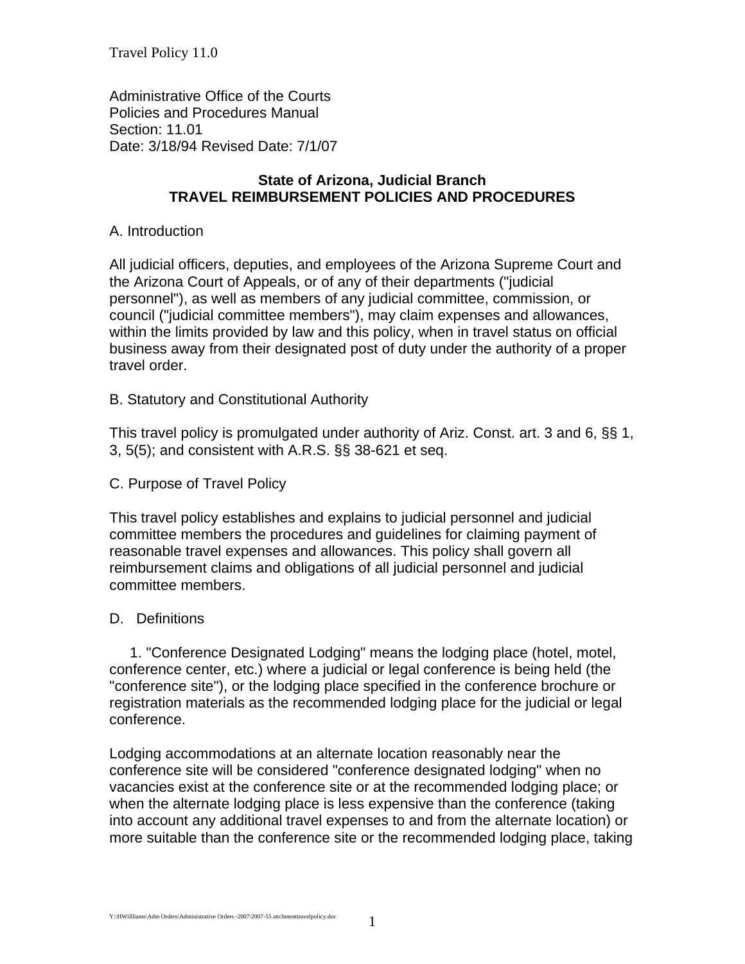Travel Policy 11.0

Administrative Office of the Courts Policies and Procedures Manual Section: 11.01 Date: 3/18/94 Revised Date: 7/1/07

## **State of Arizona, Judicial Branch TRAVEL REIMBURSEMENT POLICIES AND PROCEDURES**

### A. Introduction

All judicial officers, deputies, and employees of the Arizona Supreme Court and the Arizona Court of Appeals, or of any of their departments ("judicial personnel"), as well as members of any judicial committee, commission, or council ("judicial committee members"), may claim expenses and allowances, within the limits provided by law and this policy, when in travel status on official business away from their designated post of duty under the authority of a proper travel order.

B. Statutory and Constitutional Authority

This travel policy is promulgated under authority of Ariz. Const. art. 3 and 6, §§ 1, 3, 5(5); and consistent with A.R.S. §§ 38-621 et seq.

#### C. Purpose of Travel Policy

This travel policy establishes and explains to judicial personnel and judicial committee members the procedures and guidelines for claiming payment of reasonable travel expenses and allowances. This policy shall govern all reimbursement claims and obligations of all judicial personnel and judicial committee members.

#### D. Definitions

 1. "Conference Designated Lodging" means the lodging place (hotel, motel, conference center, etc.) where a judicial or legal conference is being held (the "conference site"), or the lodging place specified in the conference brochure or registration materials as the recommended lodging place for the judicial or legal conference.

Lodging accommodations at an alternate location reasonably near the conference site will be considered "conference designated lodging" when no vacancies exist at the conference site or at the recommended lodging place; or when the alternate lodging place is less expensive than the conference (taking into account any additional travel expenses to and from the alternate location) or more suitable than the conference site or the recommended lodging place, taking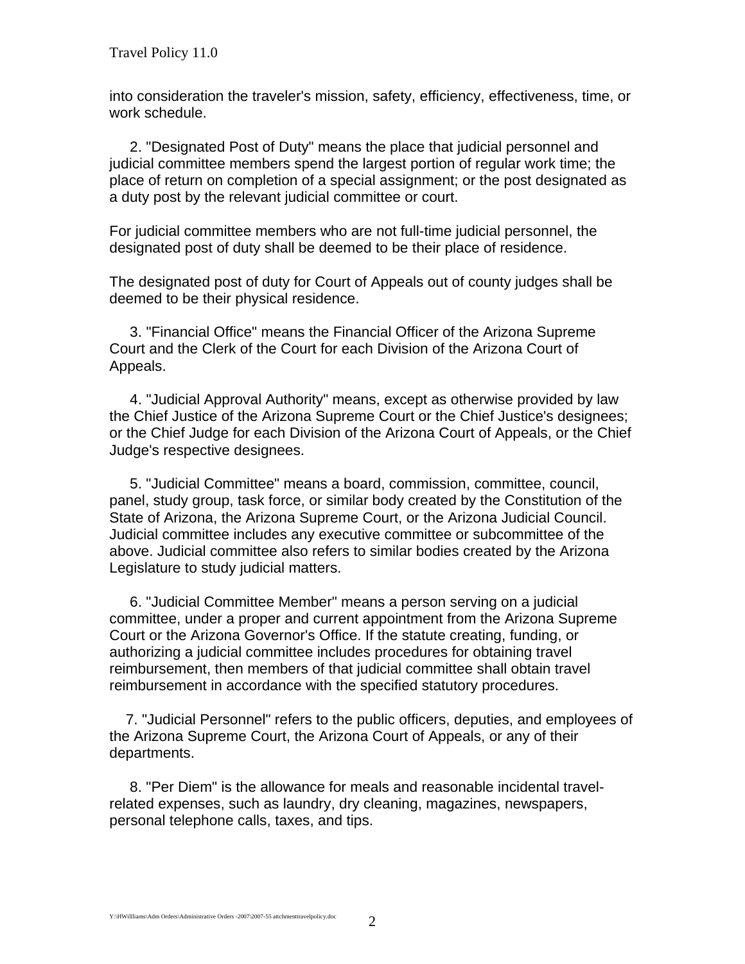into consideration the traveler's mission, safety, efficiency, effectiveness, time, or work schedule.

 2. "Designated Post of Duty" means the place that judicial personnel and judicial committee members spend the largest portion of regular work time; the place of return on completion of a special assignment; or the post designated as a duty post by the relevant judicial committee or court.

For judicial committee members who are not full-time judicial personnel, the designated post of duty shall be deemed to be their place of residence.

The designated post of duty for Court of Appeals out of county judges shall be deemed to be their physical residence.

 3. "Financial Office" means the Financial Officer of the Arizona Supreme Court and the Clerk of the Court for each Division of the Arizona Court of Appeals.

 4. "Judicial Approval Authority" means, except as otherwise provided by law the Chief Justice of the Arizona Supreme Court or the Chief Justice's designees; or the Chief Judge for each Division of the Arizona Court of Appeals, or the Chief Judge's respective designees.

 5. "Judicial Committee" means a board, commission, committee, council, panel, study group, task force, or similar body created by the Constitution of the State of Arizona, the Arizona Supreme Court, or the Arizona Judicial Council. Judicial committee includes any executive committee or subcommittee of the above. Judicial committee also refers to similar bodies created by the Arizona Legislature to study judicial matters.

 6. "Judicial Committee Member" means a person serving on a judicial committee, under a proper and current appointment from the Arizona Supreme Court or the Arizona Governor's Office. If the statute creating, funding, or authorizing a judicial committee includes procedures for obtaining travel reimbursement, then members of that judicial committee shall obtain travel reimbursement in accordance with the specified statutory procedures.

 7. "Judicial Personnel" refers to the public officers, deputies, and employees of the Arizona Supreme Court, the Arizona Court of Appeals, or any of their departments.

 8. "Per Diem" is the allowance for meals and reasonable incidental travelrelated expenses, such as laundry, dry cleaning, magazines, newspapers, personal telephone calls, taxes, and tips.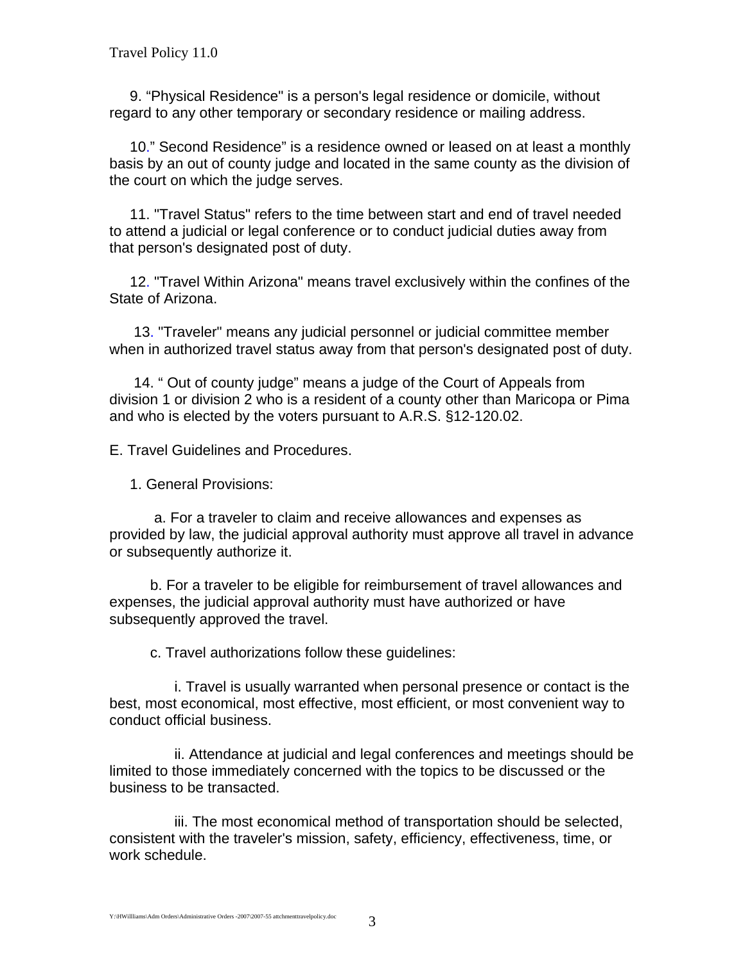9. "Physical Residence" is a person's legal residence or domicile, without regard to any other temporary or secondary residence or mailing address.

 10." Second Residence" is a residence owned or leased on at least a monthly basis by an out of county judge and located in the same county as the division of the court on which the judge serves.

 11. "Travel Status" refers to the time between start and end of travel needed to attend a judicial or legal conference or to conduct judicial duties away from that person's designated post of duty.

 12. "Travel Within Arizona" means travel exclusively within the confines of the State of Arizona.

 13. "Traveler" means any judicial personnel or judicial committee member when in authorized travel status away from that person's designated post of duty.

 14. " Out of county judge" means a judge of the Court of Appeals from division 1 or division 2 who is a resident of a county other than Maricopa or Pima and who is elected by the voters pursuant to A.R.S. §12-120.02.

E. Travel Guidelines and Procedures.

1. General Provisions:

 a. For a traveler to claim and receive allowances and expenses as provided by law, the judicial approval authority must approve all travel in advance or subsequently authorize it.

 b. For a traveler to be eligible for reimbursement of travel allowances and expenses, the judicial approval authority must have authorized or have subsequently approved the travel.

c. Travel authorizations follow these guidelines:

 i. Travel is usually warranted when personal presence or contact is the best, most economical, most effective, most efficient, or most convenient way to conduct official business.

 ii. Attendance at judicial and legal conferences and meetings should be limited to those immediately concerned with the topics to be discussed or the business to be transacted.

 iii. The most economical method of transportation should be selected, consistent with the traveler's mission, safety, efficiency, effectiveness, time, or work schedule.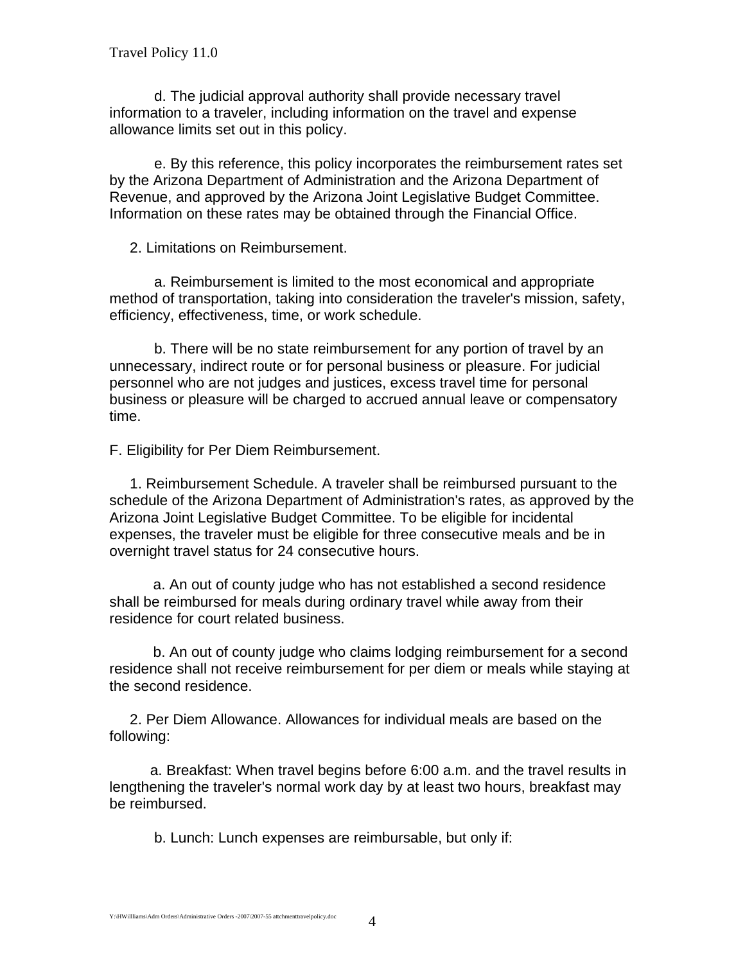d. The judicial approval authority shall provide necessary travel information to a traveler, including information on the travel and expense allowance limits set out in this policy.

 e. By this reference, this policy incorporates the reimbursement rates set by the Arizona Department of Administration and the Arizona Department of Revenue, and approved by the Arizona Joint Legislative Budget Committee. Information on these rates may be obtained through the Financial Office.

2. Limitations on Reimbursement.

 a. Reimbursement is limited to the most economical and appropriate method of transportation, taking into consideration the traveler's mission, safety, efficiency, effectiveness, time, or work schedule.

 b. There will be no state reimbursement for any portion of travel by an unnecessary, indirect route or for personal business or pleasure. For judicial personnel who are not judges and justices, excess travel time for personal business or pleasure will be charged to accrued annual leave or compensatory time.

F. Eligibility for Per Diem Reimbursement.

 1. Reimbursement Schedule. A traveler shall be reimbursed pursuant to the schedule of the Arizona Department of Administration's rates, as approved by the Arizona Joint Legislative Budget Committee. To be eligible for incidental expenses, the traveler must be eligible for three consecutive meals and be in overnight travel status for 24 consecutive hours.

 a. An out of county judge who has not established a second residence shall be reimbursed for meals during ordinary travel while away from their residence for court related business.

 b. An out of county judge who claims lodging reimbursement for a second residence shall not receive reimbursement for per diem or meals while staying at the second residence.

 2. Per Diem Allowance. Allowances for individual meals are based on the following:

 a. Breakfast: When travel begins before 6:00 a.m. and the travel results in lengthening the traveler's normal work day by at least two hours, breakfast may be reimbursed.

b. Lunch: Lunch expenses are reimbursable, but only if: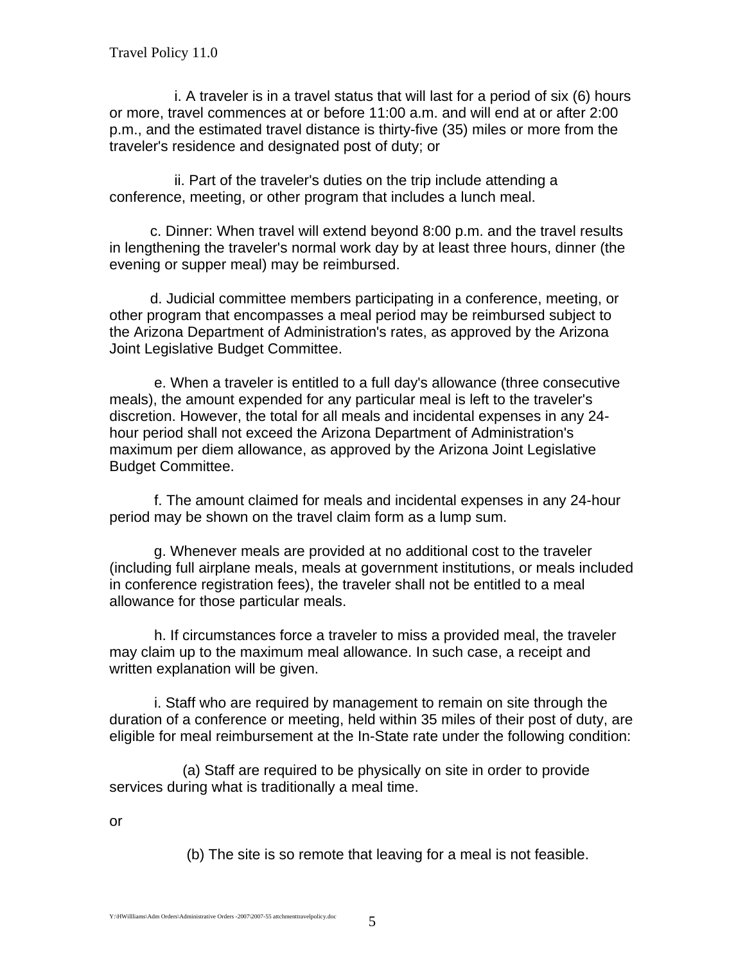i. A traveler is in a travel status that will last for a period of six (6) hours or more, travel commences at or before 11:00 a.m. and will end at or after 2:00 p.m., and the estimated travel distance is thirty-five (35) miles or more from the traveler's residence and designated post of duty; or

 ii. Part of the traveler's duties on the trip include attending a conference, meeting, or other program that includes a lunch meal.

 c. Dinner: When travel will extend beyond 8:00 p.m. and the travel results in lengthening the traveler's normal work day by at least three hours, dinner (the evening or supper meal) may be reimbursed.

 d. Judicial committee members participating in a conference, meeting, or other program that encompasses a meal period may be reimbursed subject to the Arizona Department of Administration's rates, as approved by the Arizona Joint Legislative Budget Committee.

 e. When a traveler is entitled to a full day's allowance (three consecutive meals), the amount expended for any particular meal is left to the traveler's discretion. However, the total for all meals and incidental expenses in any 24 hour period shall not exceed the Arizona Department of Administration's maximum per diem allowance, as approved by the Arizona Joint Legislative Budget Committee.

 f. The amount claimed for meals and incidental expenses in any 24-hour period may be shown on the travel claim form as a lump sum.

 g. Whenever meals are provided at no additional cost to the traveler (including full airplane meals, meals at government institutions, or meals included in conference registration fees), the traveler shall not be entitled to a meal allowance for those particular meals.

 h. If circumstances force a traveler to miss a provided meal, the traveler may claim up to the maximum meal allowance. In such case, a receipt and written explanation will be given.

 i. Staff who are required by management to remain on site through the duration of a conference or meeting, held within 35 miles of their post of duty, are eligible for meal reimbursement at the In-State rate under the following condition:

 (a) Staff are required to be physically on site in order to provide services during what is traditionally a meal time.

or

(b) The site is so remote that leaving for a meal is not feasible.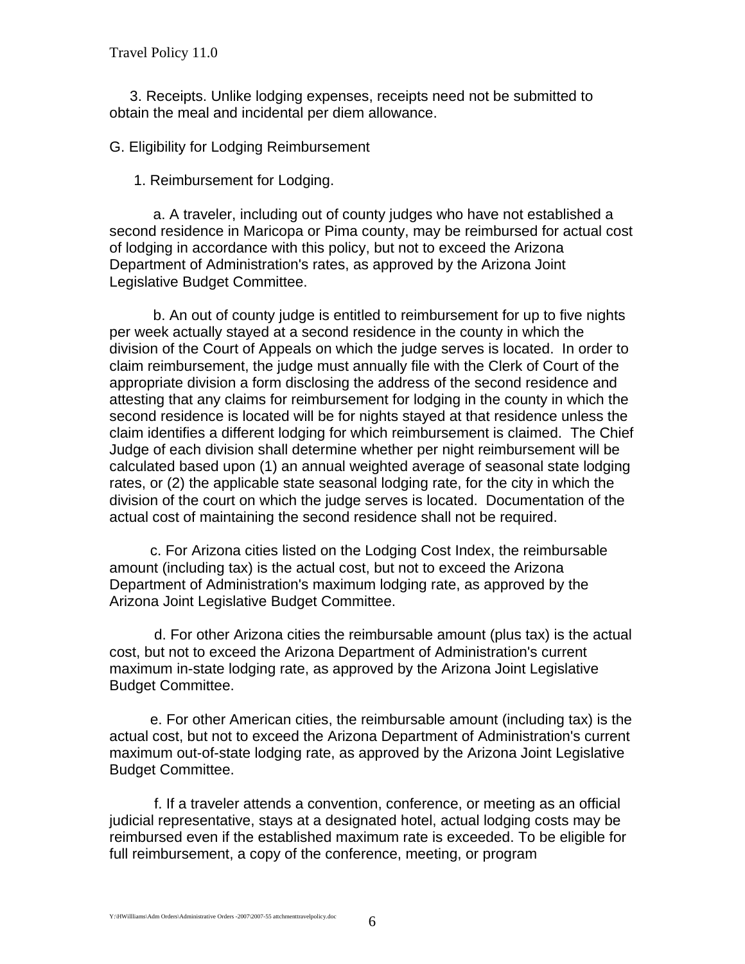Travel Policy 11.0

 3. Receipts. Unlike lodging expenses, receipts need not be submitted to obtain the meal and incidental per diem allowance.

G. Eligibility for Lodging Reimbursement

1. Reimbursement for Lodging.

a. A traveler, including out of county judges who have not established a second residence in Maricopa or Pima county, may be reimbursed for actual cost of lodging in accordance with this policy, but not to exceed the Arizona Department of Administration's rates, as approved by the Arizona Joint Legislative Budget Committee.

b. An out of county judge is entitled to reimbursement for up to five nights per week actually stayed at a second residence in the county in which the division of the Court of Appeals on which the judge serves is located. In order to claim reimbursement, the judge must annually file with the Clerk of Court of the appropriate division a form disclosing the address of the second residence and attesting that any claims for reimbursement for lodging in the county in which the second residence is located will be for nights stayed at that residence unless the claim identifies a different lodging for which reimbursement is claimed. The Chief Judge of each division shall determine whether per night reimbursement will be calculated based upon (1) an annual weighted average of seasonal state lodging rates, or (2) the applicable state seasonal lodging rate, for the city in which the division of the court on which the judge serves is located. Documentation of the actual cost of maintaining the second residence shall not be required.

 c. For Arizona cities listed on the Lodging Cost Index, the reimbursable amount (including tax) is the actual cost, but not to exceed the Arizona Department of Administration's maximum lodging rate, as approved by the Arizona Joint Legislative Budget Committee.

 d. For other Arizona cities the reimbursable amount (plus tax) is the actual cost, but not to exceed the Arizona Department of Administration's current maximum in-state lodging rate, as approved by the Arizona Joint Legislative Budget Committee.

 e. For other American cities, the reimbursable amount (including tax) is the actual cost, but not to exceed the Arizona Department of Administration's current maximum out-of-state lodging rate, as approved by the Arizona Joint Legislative Budget Committee.

 f. If a traveler attends a convention, conference, or meeting as an official judicial representative, stays at a designated hotel, actual lodging costs may be reimbursed even if the established maximum rate is exceeded. To be eligible for full reimbursement, a copy of the conference, meeting, or program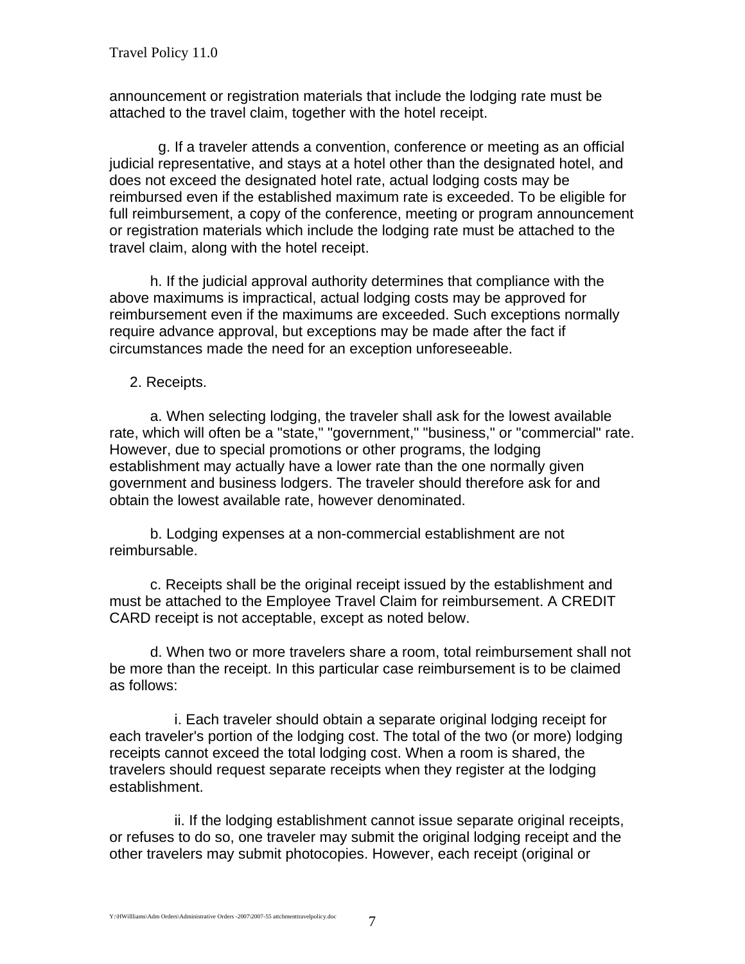announcement or registration materials that include the lodging rate must be attached to the travel claim, together with the hotel receipt.

 g. If a traveler attends a convention, conference or meeting as an official judicial representative, and stays at a hotel other than the designated hotel, and does not exceed the designated hotel rate, actual lodging costs may be reimbursed even if the established maximum rate is exceeded. To be eligible for full reimbursement, a copy of the conference, meeting or program announcement or registration materials which include the lodging rate must be attached to the travel claim, along with the hotel receipt.

 h. If the judicial approval authority determines that compliance with the above maximums is impractical, actual lodging costs may be approved for reimbursement even if the maximums are exceeded. Such exceptions normally require advance approval, but exceptions may be made after the fact if circumstances made the need for an exception unforeseeable.

2. Receipts.

 a. When selecting lodging, the traveler shall ask for the lowest available rate, which will often be a "state," "government," "business," or "commercial" rate. However, due to special promotions or other programs, the lodging establishment may actually have a lower rate than the one normally given government and business lodgers. The traveler should therefore ask for and obtain the lowest available rate, however denominated.

 b. Lodging expenses at a non-commercial establishment are not reimbursable.

 c. Receipts shall be the original receipt issued by the establishment and must be attached to the Employee Travel Claim for reimbursement. A CREDIT CARD receipt is not acceptable, except as noted below.

 d. When two or more travelers share a room, total reimbursement shall not be more than the receipt. In this particular case reimbursement is to be claimed as follows:

 i. Each traveler should obtain a separate original lodging receipt for each traveler's portion of the lodging cost. The total of the two (or more) lodging receipts cannot exceed the total lodging cost. When a room is shared, the travelers should request separate receipts when they register at the lodging establishment.

 ii. If the lodging establishment cannot issue separate original receipts, or refuses to do so, one traveler may submit the original lodging receipt and the other travelers may submit photocopies. However, each receipt (original or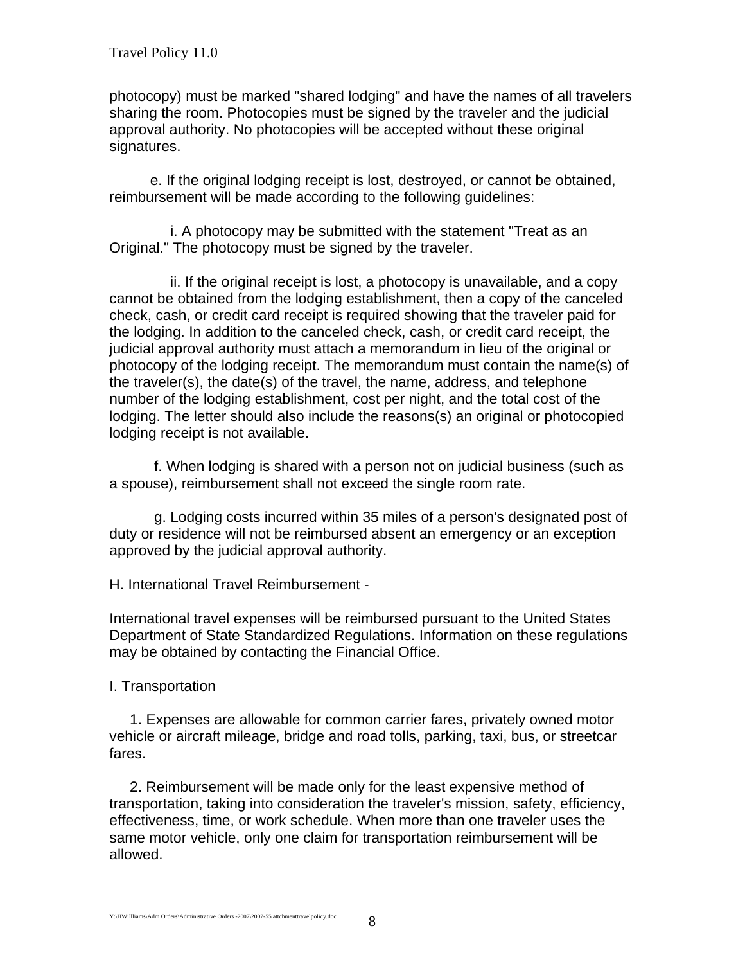photocopy) must be marked "shared lodging" and have the names of all travelers sharing the room. Photocopies must be signed by the traveler and the judicial approval authority. No photocopies will be accepted without these original signatures.

 e. If the original lodging receipt is lost, destroyed, or cannot be obtained, reimbursement will be made according to the following guidelines:

 i. A photocopy may be submitted with the statement "Treat as an Original." The photocopy must be signed by the traveler.

 ii. If the original receipt is lost, a photocopy is unavailable, and a copy cannot be obtained from the lodging establishment, then a copy of the canceled check, cash, or credit card receipt is required showing that the traveler paid for the lodging. In addition to the canceled check, cash, or credit card receipt, the judicial approval authority must attach a memorandum in lieu of the original or photocopy of the lodging receipt. The memorandum must contain the name(s) of the traveler(s), the date(s) of the travel, the name, address, and telephone number of the lodging establishment, cost per night, and the total cost of the lodging. The letter should also include the reasons(s) an original or photocopied lodging receipt is not available.

 f. When lodging is shared with a person not on judicial business (such as a spouse), reimbursement shall not exceed the single room rate.

 g. Lodging costs incurred within 35 miles of a person's designated post of duty or residence will not be reimbursed absent an emergency or an exception approved by the judicial approval authority.

H. International Travel Reimbursement -

International travel expenses will be reimbursed pursuant to the United States Department of State Standardized Regulations. Information on these regulations may be obtained by contacting the Financial Office.

I. Transportation

 1. Expenses are allowable for common carrier fares, privately owned motor vehicle or aircraft mileage, bridge and road tolls, parking, taxi, bus, or streetcar fares.

 2. Reimbursement will be made only for the least expensive method of transportation, taking into consideration the traveler's mission, safety, efficiency, effectiveness, time, or work schedule. When more than one traveler uses the same motor vehicle, only one claim for transportation reimbursement will be allowed.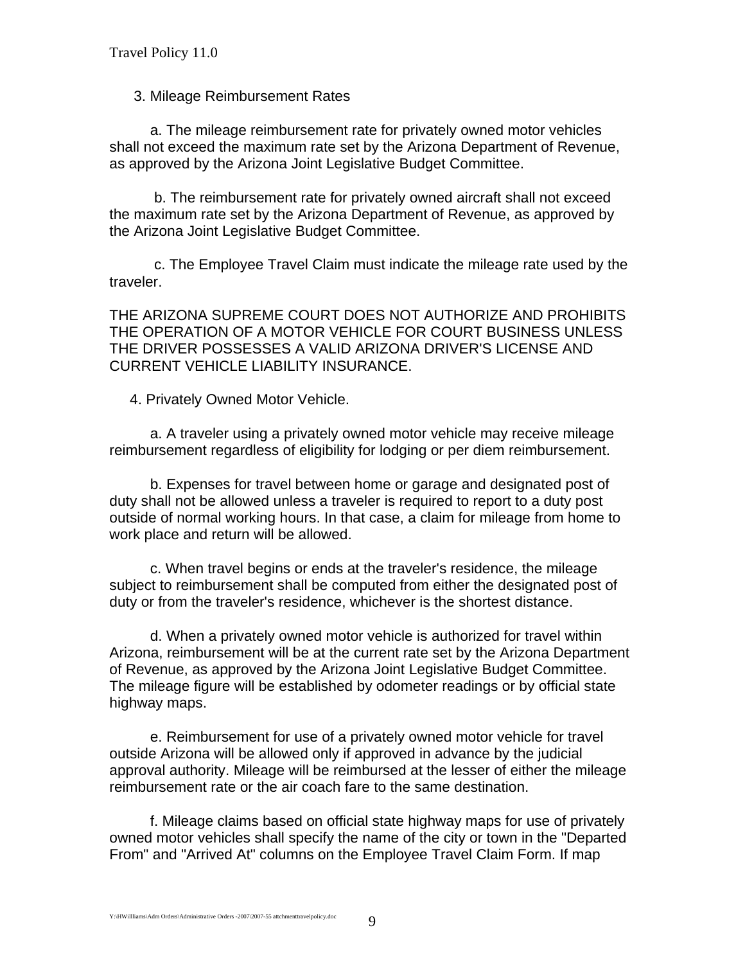## 3. Mileage Reimbursement Rates

 a. The mileage reimbursement rate for privately owned motor vehicles shall not exceed the maximum rate set by the Arizona Department of Revenue, as approved by the Arizona Joint Legislative Budget Committee.

 b. The reimbursement rate for privately owned aircraft shall not exceed the maximum rate set by the Arizona Department of Revenue, as approved by the Arizona Joint Legislative Budget Committee.

 c. The Employee Travel Claim must indicate the mileage rate used by the traveler.

THE ARIZONA SUPREME COURT DOES NOT AUTHORIZE AND PROHIBITS THE OPERATION OF A MOTOR VEHICLE FOR COURT BUSINESS UNLESS THE DRIVER POSSESSES A VALID ARIZONA DRIVER'S LICENSE AND CURRENT VEHICLE LIABILITY INSURANCE.

4. Privately Owned Motor Vehicle.

 a. A traveler using a privately owned motor vehicle may receive mileage reimbursement regardless of eligibility for lodging or per diem reimbursement.

 b. Expenses for travel between home or garage and designated post of duty shall not be allowed unless a traveler is required to report to a duty post outside of normal working hours. In that case, a claim for mileage from home to work place and return will be allowed.

 c. When travel begins or ends at the traveler's residence, the mileage subject to reimbursement shall be computed from either the designated post of duty or from the traveler's residence, whichever is the shortest distance.

 d. When a privately owned motor vehicle is authorized for travel within Arizona, reimbursement will be at the current rate set by the Arizona Department of Revenue, as approved by the Arizona Joint Legislative Budget Committee. The mileage figure will be established by odometer readings or by official state highway maps.

 e. Reimbursement for use of a privately owned motor vehicle for travel outside Arizona will be allowed only if approved in advance by the judicial approval authority. Mileage will be reimbursed at the lesser of either the mileage reimbursement rate or the air coach fare to the same destination.

 f. Mileage claims based on official state highway maps for use of privately owned motor vehicles shall specify the name of the city or town in the "Departed From" and "Arrived At" columns on the Employee Travel Claim Form. If map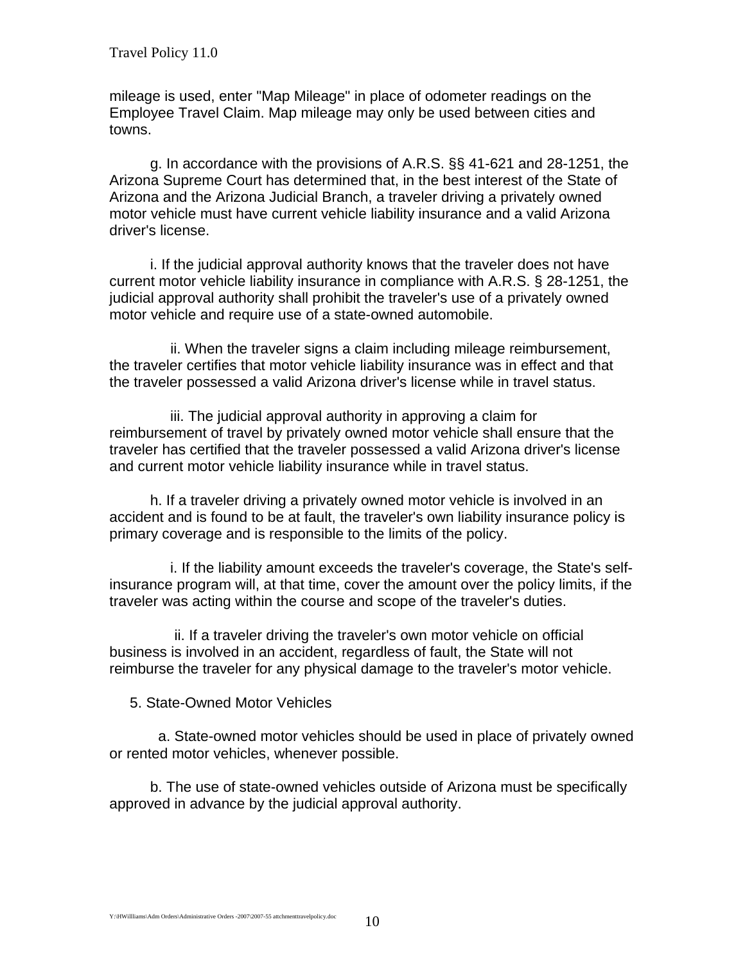mileage is used, enter "Map Mileage" in place of odometer readings on the Employee Travel Claim. Map mileage may only be used between cities and towns.

 g. In accordance with the provisions of A.R.S. §§ 41-621 and 28-1251, the Arizona Supreme Court has determined that, in the best interest of the State of Arizona and the Arizona Judicial Branch, a traveler driving a privately owned motor vehicle must have current vehicle liability insurance and a valid Arizona driver's license.

 i. If the judicial approval authority knows that the traveler does not have current motor vehicle liability insurance in compliance with A.R.S. § 28-1251, the judicial approval authority shall prohibit the traveler's use of a privately owned motor vehicle and require use of a state-owned automobile.

 ii. When the traveler signs a claim including mileage reimbursement, the traveler certifies that motor vehicle liability insurance was in effect and that the traveler possessed a valid Arizona driver's license while in travel status.

 iii. The judicial approval authority in approving a claim for reimbursement of travel by privately owned motor vehicle shall ensure that the traveler has certified that the traveler possessed a valid Arizona driver's license and current motor vehicle liability insurance while in travel status.

 h. If a traveler driving a privately owned motor vehicle is involved in an accident and is found to be at fault, the traveler's own liability insurance policy is primary coverage and is responsible to the limits of the policy.

 i. If the liability amount exceeds the traveler's coverage, the State's selfinsurance program will, at that time, cover the amount over the policy limits, if the traveler was acting within the course and scope of the traveler's duties.

 ii. If a traveler driving the traveler's own motor vehicle on official business is involved in an accident, regardless of fault, the State will not reimburse the traveler for any physical damage to the traveler's motor vehicle.

5. State-Owned Motor Vehicles

 a. State-owned motor vehicles should be used in place of privately owned or rented motor vehicles, whenever possible.

 b. The use of state-owned vehicles outside of Arizona must be specifically approved in advance by the judicial approval authority.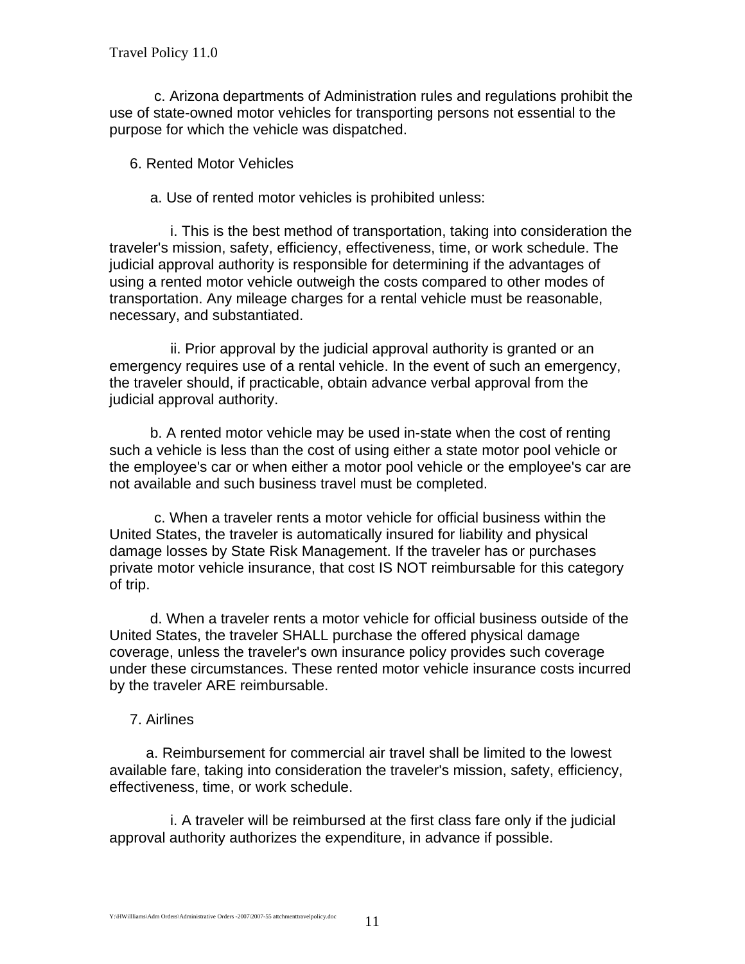c. Arizona departments of Administration rules and regulations prohibit the use of state-owned motor vehicles for transporting persons not essential to the purpose for which the vehicle was dispatched.

6. Rented Motor Vehicles

a. Use of rented motor vehicles is prohibited unless:

 i. This is the best method of transportation, taking into consideration the traveler's mission, safety, efficiency, effectiveness, time, or work schedule. The judicial approval authority is responsible for determining if the advantages of using a rented motor vehicle outweigh the costs compared to other modes of transportation. Any mileage charges for a rental vehicle must be reasonable, necessary, and substantiated.

 ii. Prior approval by the judicial approval authority is granted or an emergency requires use of a rental vehicle. In the event of such an emergency, the traveler should, if practicable, obtain advance verbal approval from the judicial approval authority.

 b. A rented motor vehicle may be used in-state when the cost of renting such a vehicle is less than the cost of using either a state motor pool vehicle or the employee's car or when either a motor pool vehicle or the employee's car are not available and such business travel must be completed.

 c. When a traveler rents a motor vehicle for official business within the United States, the traveler is automatically insured for liability and physical damage losses by State Risk Management. If the traveler has or purchases private motor vehicle insurance, that cost IS NOT reimbursable for this category of trip.

 d. When a traveler rents a motor vehicle for official business outside of the United States, the traveler SHALL purchase the offered physical damage coverage, unless the traveler's own insurance policy provides such coverage under these circumstances. These rented motor vehicle insurance costs incurred by the traveler ARE reimbursable.

# 7. Airlines

 a. Reimbursement for commercial air travel shall be limited to the lowest available fare, taking into consideration the traveler's mission, safety, efficiency, effectiveness, time, or work schedule.

 i. A traveler will be reimbursed at the first class fare only if the judicial approval authority authorizes the expenditure, in advance if possible.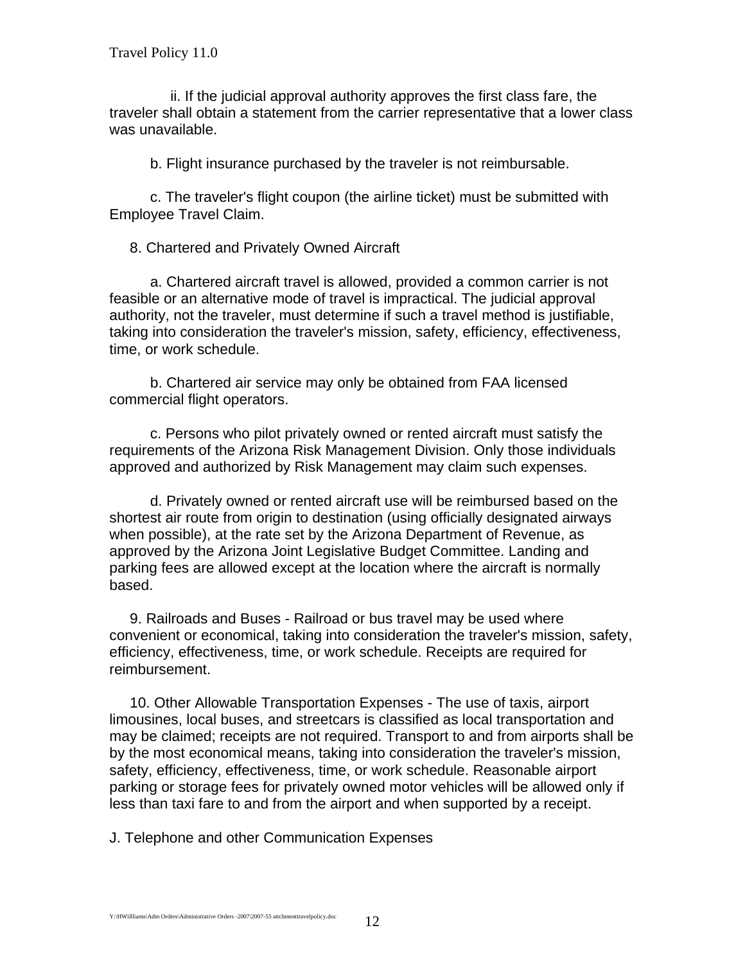ii. If the judicial approval authority approves the first class fare, the traveler shall obtain a statement from the carrier representative that a lower class was unavailable.

b. Flight insurance purchased by the traveler is not reimbursable.

 c. The traveler's flight coupon (the airline ticket) must be submitted with Employee Travel Claim.

8. Chartered and Privately Owned Aircraft

 a. Chartered aircraft travel is allowed, provided a common carrier is not feasible or an alternative mode of travel is impractical. The judicial approval authority, not the traveler, must determine if such a travel method is justifiable, taking into consideration the traveler's mission, safety, efficiency, effectiveness, time, or work schedule.

 b. Chartered air service may only be obtained from FAA licensed commercial flight operators.

 c. Persons who pilot privately owned or rented aircraft must satisfy the requirements of the Arizona Risk Management Division. Only those individuals approved and authorized by Risk Management may claim such expenses.

 d. Privately owned or rented aircraft use will be reimbursed based on the shortest air route from origin to destination (using officially designated airways when possible), at the rate set by the Arizona Department of Revenue, as approved by the Arizona Joint Legislative Budget Committee. Landing and parking fees are allowed except at the location where the aircraft is normally based.

 9. Railroads and Buses - Railroad or bus travel may be used where convenient or economical, taking into consideration the traveler's mission, safety, efficiency, effectiveness, time, or work schedule. Receipts are required for reimbursement.

 10. Other Allowable Transportation Expenses - The use of taxis, airport limousines, local buses, and streetcars is classified as local transportation and may be claimed; receipts are not required. Transport to and from airports shall be by the most economical means, taking into consideration the traveler's mission, safety, efficiency, effectiveness, time, or work schedule. Reasonable airport parking or storage fees for privately owned motor vehicles will be allowed only if less than taxi fare to and from the airport and when supported by a receipt.

J. Telephone and other Communication Expenses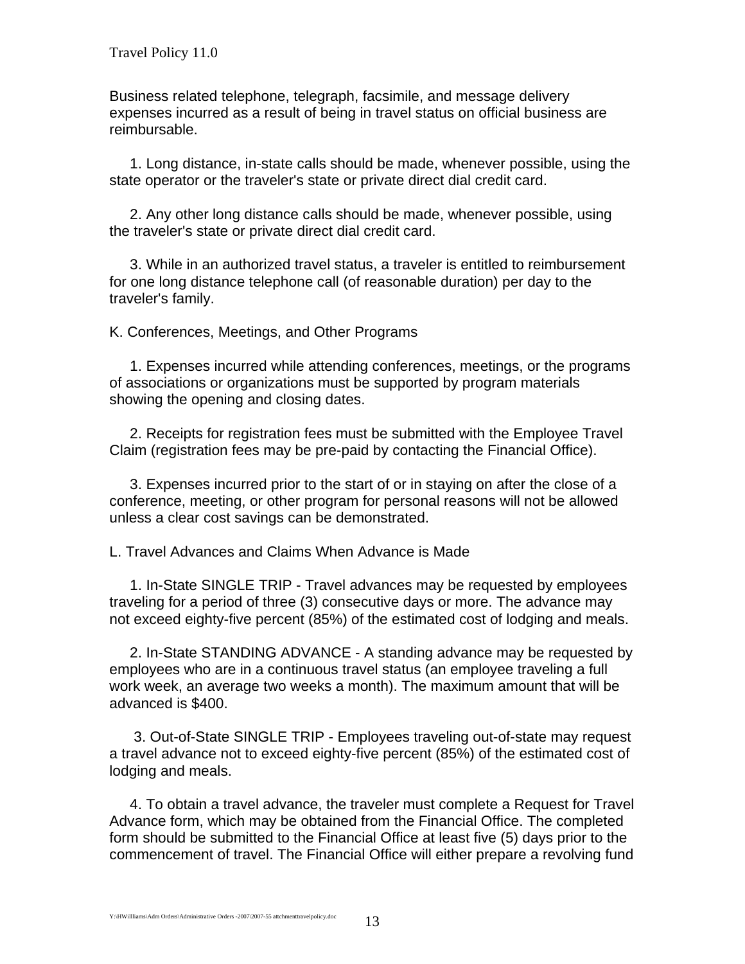Business related telephone, telegraph, facsimile, and message delivery expenses incurred as a result of being in travel status on official business are reimbursable.

 1. Long distance, in-state calls should be made, whenever possible, using the state operator or the traveler's state or private direct dial credit card.

 2. Any other long distance calls should be made, whenever possible, using the traveler's state or private direct dial credit card.

 3. While in an authorized travel status, a traveler is entitled to reimbursement for one long distance telephone call (of reasonable duration) per day to the traveler's family.

K. Conferences, Meetings, and Other Programs

 1. Expenses incurred while attending conferences, meetings, or the programs of associations or organizations must be supported by program materials showing the opening and closing dates.

 2. Receipts for registration fees must be submitted with the Employee Travel Claim (registration fees may be pre-paid by contacting the Financial Office).

 3. Expenses incurred prior to the start of or in staying on after the close of a conference, meeting, or other program for personal reasons will not be allowed unless a clear cost savings can be demonstrated.

L. Travel Advances and Claims When Advance is Made

 1. In-State SINGLE TRIP - Travel advances may be requested by employees traveling for a period of three (3) consecutive days or more. The advance may not exceed eighty-five percent (85%) of the estimated cost of lodging and meals.

 2. In-State STANDING ADVANCE - A standing advance may be requested by employees who are in a continuous travel status (an employee traveling a full work week, an average two weeks a month). The maximum amount that will be advanced is \$400.

 3. Out-of-State SINGLE TRIP - Employees traveling out-of-state may request a travel advance not to exceed eighty-five percent (85%) of the estimated cost of lodging and meals.

 4. To obtain a travel advance, the traveler must complete a Request for Travel Advance form, which may be obtained from the Financial Office. The completed form should be submitted to the Financial Office at least five (5) days prior to the commencement of travel. The Financial Office will either prepare a revolving fund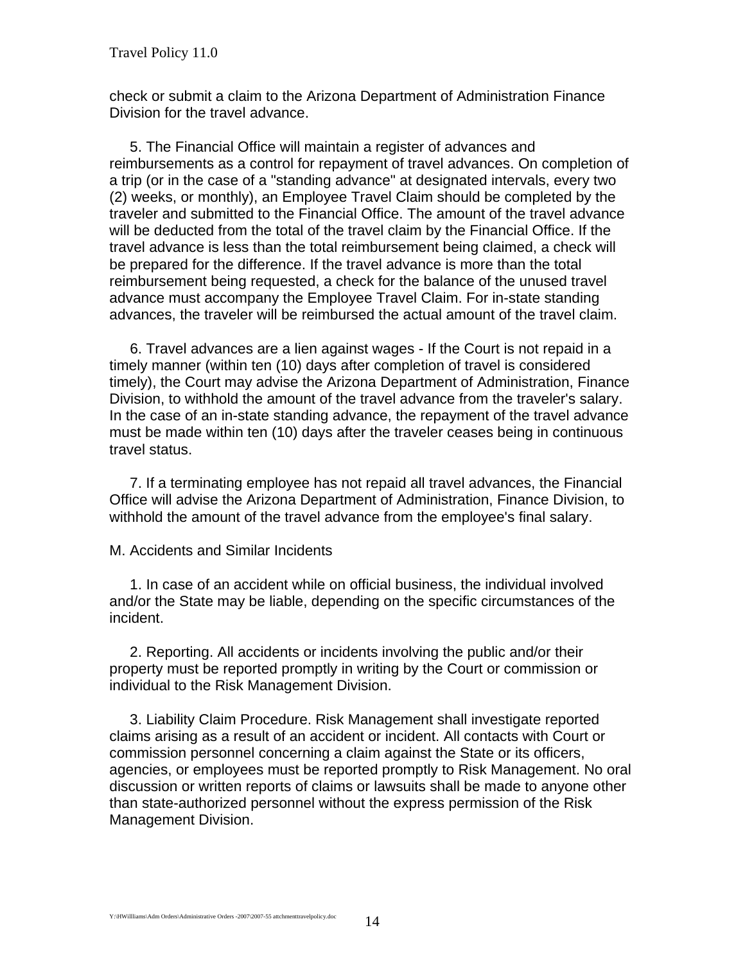check or submit a claim to the Arizona Department of Administration Finance Division for the travel advance.

 5. The Financial Office will maintain a register of advances and reimbursements as a control for repayment of travel advances. On completion of a trip (or in the case of a "standing advance" at designated intervals, every two (2) weeks, or monthly), an Employee Travel Claim should be completed by the traveler and submitted to the Financial Office. The amount of the travel advance will be deducted from the total of the travel claim by the Financial Office. If the travel advance is less than the total reimbursement being claimed, a check will be prepared for the difference. If the travel advance is more than the total reimbursement being requested, a check for the balance of the unused travel advance must accompany the Employee Travel Claim. For in-state standing advances, the traveler will be reimbursed the actual amount of the travel claim.

 6. Travel advances are a lien against wages - If the Court is not repaid in a timely manner (within ten (10) days after completion of travel is considered timely), the Court may advise the Arizona Department of Administration, Finance Division, to withhold the amount of the travel advance from the traveler's salary. In the case of an in-state standing advance, the repayment of the travel advance must be made within ten (10) days after the traveler ceases being in continuous travel status.

 7. If a terminating employee has not repaid all travel advances, the Financial Office will advise the Arizona Department of Administration, Finance Division, to withhold the amount of the travel advance from the employee's final salary.

M. Accidents and Similar Incidents

 1. In case of an accident while on official business, the individual involved and/or the State may be liable, depending on the specific circumstances of the incident.

 2. Reporting. All accidents or incidents involving the public and/or their property must be reported promptly in writing by the Court or commission or individual to the Risk Management Division.

 3. Liability Claim Procedure. Risk Management shall investigate reported claims arising as a result of an accident or incident. All contacts with Court or commission personnel concerning a claim against the State or its officers, agencies, or employees must be reported promptly to Risk Management. No oral discussion or written reports of claims or lawsuits shall be made to anyone other than state-authorized personnel without the express permission of the Risk Management Division.